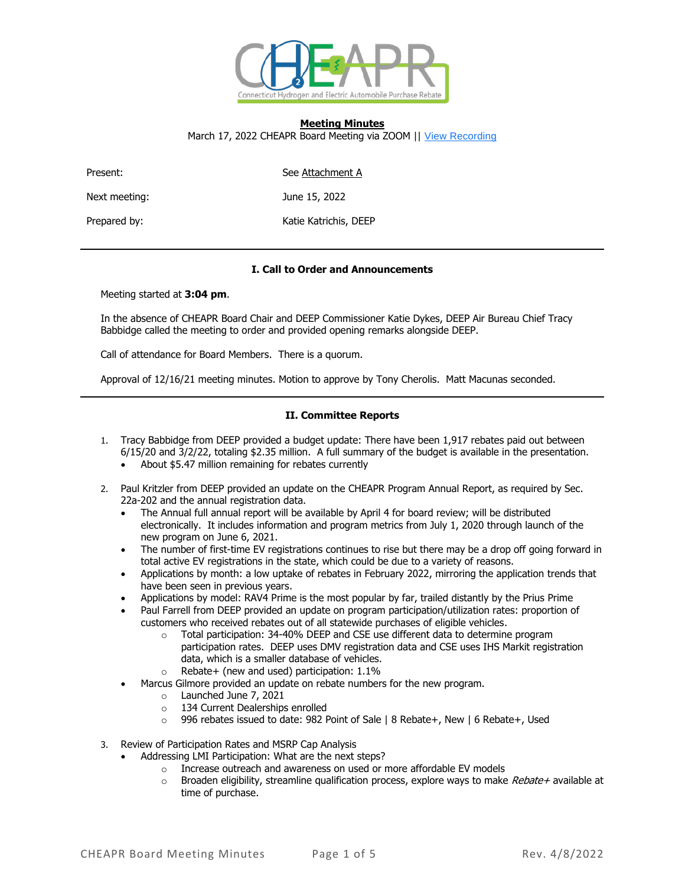

### **Meeting Minutes** March 17, 2022 CHEAPR Board Meeting via ZOOM || [View Recording](https://gcc02.safelinks.protection.outlook.com/?url=https%3A%2F%2Fctdeep.zoom.us%2Frec%2Fshare%2FwDPdjmDTL6KQs36F2l5fPZAySkfK5e7kLS6hxqZN1dCaipu9HZUbe9ETmQeuKSQT.PJ2Y_txpizPEVd5P&data=04%7C01%7CTracy.Babbidge%40ct.gov%7Cba7fd0ddf1024de58a1c08da085c9fb3%7C118b7cfaa3dd48b9b02631ff69bb738b%7C0%7C0%7C637831491154836552%7CUnknown%7CTWFpbGZsb3d8eyJWIjoiMC4wLjAwMDAiLCJQIjoiV2luMzIiLCJBTiI6Ik1haWwiLCJXVCI6Mn0%3D%7C3000&sdata=Ia1qHBAYchydvdPzZlJZtDMFQWH1rJTkdPBaBVLrdfE%3D&reserved=0)

Present: See Attachment A

Next meeting:  $June 15, 2022$ 

Prepared by: Katie Katrichis, DEEP

# **I. Call to Order and Announcements**

Meeting started at **3:04 pm**.

In the absence of CHEAPR Board Chair and DEEP Commissioner Katie Dykes, DEEP Air Bureau Chief Tracy Babbidge called the meeting to order and provided opening remarks alongside DEEP.

Call of attendance for Board Members. There is a quorum.

Approval of 12/16/21 meeting minutes. Motion to approve by Tony Cherolis. Matt Macunas seconded.

# **II. Committee Reports**

- 1. Tracy Babbidge from DEEP provided a budget update: There have been 1,917 rebates paid out between 6/15/20 and 3/2/22, totaling \$2.35 million. A full summary of the budget is available in the presentation.
	- About \$5.47 million remaining for rebates currently
- 2. Paul Kritzler from DEEP provided an update on the CHEAPR Program Annual Report, as required by Sec. 22a-202 and the annual registration data.
	- The Annual full annual report will be available by April 4 for board review; will be distributed electronically. It includes information and program metrics from July 1, 2020 through launch of the new program on June 6, 2021.
	- The number of first-time EV registrations continues to rise but there may be a drop off going forward in total active EV registrations in the state, which could be due to a variety of reasons.
	- Applications by month: a low uptake of rebates in February 2022, mirroring the application trends that have been seen in previous years.
	- Applications by model: RAV4 Prime is the most popular by far, trailed distantly by the Prius Prime
	- Paul Farrell from DEEP provided an update on program participation/utilization rates: proportion of customers who received rebates out of all statewide purchases of eligible vehicles.
		- o Total participation: 34-40% DEEP and CSE use different data to determine program participation rates. DEEP uses DMV registration data and CSE uses IHS Markit registration data, which is a smaller database of vehicles.
		- o Rebate+ (new and used) participation: 1.1%
	- Marcus Gilmore provided an update on rebate numbers for the new program.
		- o Launched June 7, 2021
		- o 134 Current Dealerships enrolled
		- o 996 rebates issued to date: 982 Point of Sale | 8 Rebate+, New | 6 Rebate+, Used
- 3. Review of Participation Rates and MSRP Cap Analysis
	- Addressing LMI Participation: What are the next steps?
		- o Increase outreach and awareness on used or more affordable EV models
			- $\circ$  Broaden eligibility, streamline qualification process, explore ways to make Rebate+ available at time of purchase.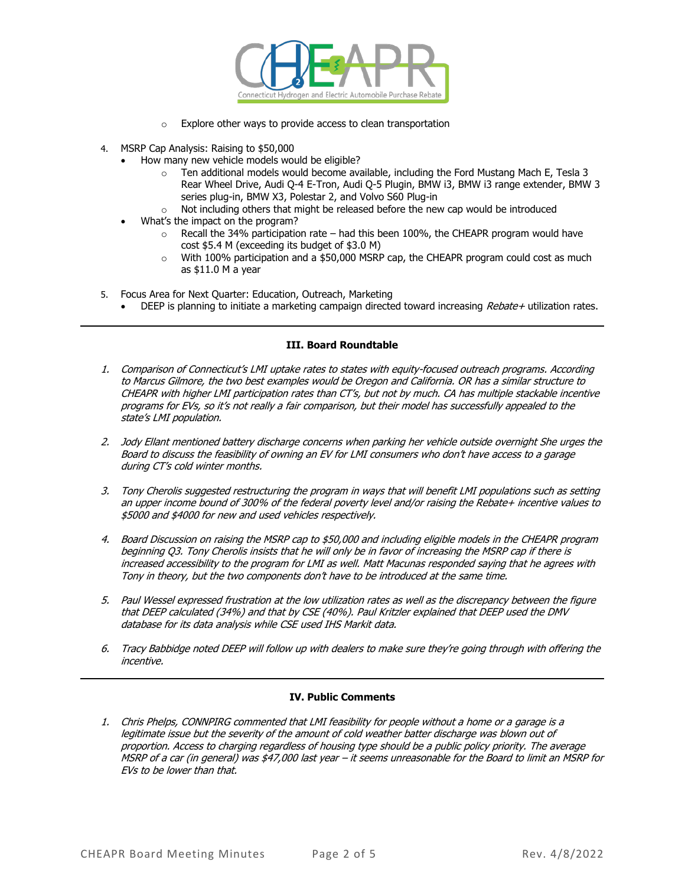

- o Explore other ways to provide access to clean transportation
- 4. MSRP Cap Analysis: Raising to \$50,000
	- How many new vehicle models would be eligible?
		- $\circ$  Ten additional models would become available, including the Ford Mustang Mach E, Tesla 3 Rear Wheel Drive, Audi Q-4 E-Tron, Audi Q-5 Plugin, BMW i3, BMW i3 range extender, BMW 3 series plug-in, BMW X3, Polestar 2, and Volvo S60 Plug-in
		- o Not including others that might be released before the new cap would be introduced
	- What's the impact on the program?
		- $\circ$  Recall the 34% participation rate had this been 100%, the CHEAPR program would have cost \$5.4 M (exceeding its budget of \$3.0 M)
		- $\circ$  With 100% participation and a \$50,000 MSRP cap, the CHEAPR program could cost as much as \$11.0 M a year
- 5. Focus Area for Next Quarter: Education, Outreach, Marketing
	- DEEP is planning to initiate a marketing campaign directed toward increasing Rebate+ utilization rates.

## **III. Board Roundtable**

- 1. Comparison of Connecticut's LMI uptake rates to states with equity-focused outreach programs. According to Marcus Gilmore, the two best examples would be Oregon and California. OR has a similar structure to CHEAPR with higher LMI participation rates than CT's, but not by much. CA has multiple stackable incentive programs for EVs, so it's not really a fair comparison, but their model has successfully appealed to the state's LMI population.
- 2. Jody Ellant mentioned battery discharge concerns when parking her vehicle outside overnight She urges the Board to discuss the feasibility of owning an EV for LMI consumers who don't have access to a garage during CT's cold winter months.
- 3. Tony Cherolis suggested restructuring the program in ways that will benefit LMI populations such as setting an upper income bound of 300% of the federal poverty level and/or raising the Rebate+ incentive values to \$5000 and \$4000 for new and used vehicles respectively.
- 4. Board Discussion on raising the MSRP cap to \$50,000 and including eligible models in the CHEAPR program beginning Q3. Tony Cherolis insists that he will only be in favor of increasing the MSRP cap if there is increased accessibility to the program for LMI as well. Matt Macunas responded saying that he agrees with Tony in theory, but the two components don't have to be introduced at the same time.
- 5. Paul Wessel expressed frustration at the low utilization rates as well as the discrepancy between the figure that DEEP calculated (34%) and that by CSE (40%). Paul Kritzler explained that DEEP used the DMV database for its data analysis while CSE used IHS Markit data.
- 6. Tracy Babbidge noted DEEP will follow up with dealers to make sure they're going through with offering the incentive.

# **IV. Public Comments**

1. Chris Phelps, CONNPIRG commented that LMI feasibility for people without a home or a garage is a legitimate issue but the severity of the amount of cold weather batter discharge was blown out of proportion. Access to charging regardless of housing type should be a public policy priority. The average MSRP of a car (in general) was \$47,000 last year – it seems unreasonable for the Board to limit an MSRP for EVs to be lower than that.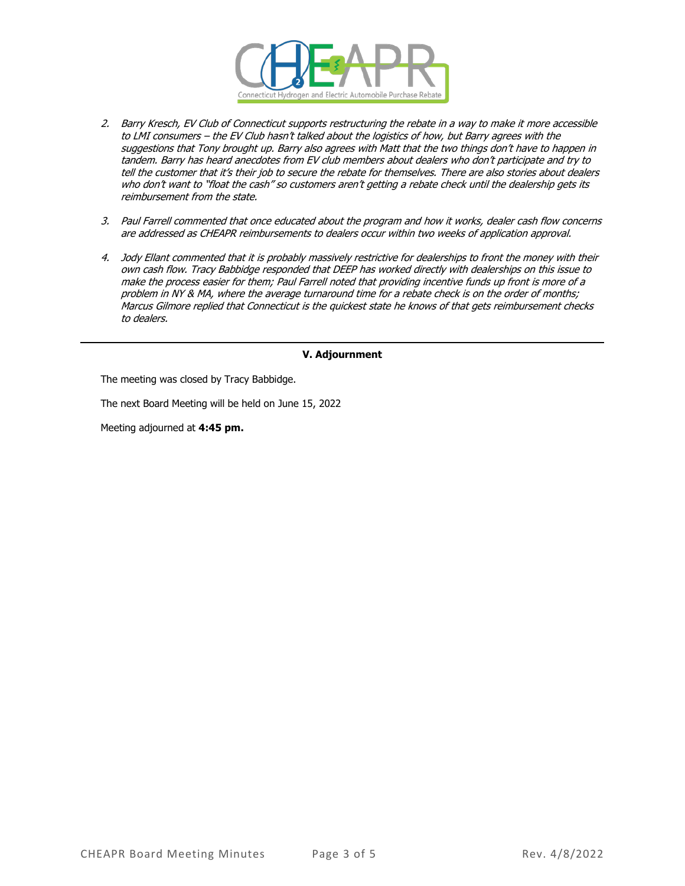

- 2. Barry Kresch, EV Club of Connecticut supports restructuring the rebate in a way to make it more accessible to LMI consumers – the EV Club hasn't talked about the logistics of how, but Barry agrees with the suggestions that Tony brought up. Barry also agrees with Matt that the two things don't have to happen in tandem. Barry has heard anecdotes from EV club members about dealers who don't participate and try to tell the customer that it's their job to secure the rebate for themselves. There are also stories about dealers who don't want to "float the cash" so customers aren't getting a rebate check until the dealership gets its reimbursement from the state.
- 3. Paul Farrell commented that once educated about the program and how it works, dealer cash flow concerns are addressed as CHEAPR reimbursements to dealers occur within two weeks of application approval.
- 4. Jody Ellant commented that it is probably massively restrictive for dealerships to front the money with their own cash flow. Tracy Babbidge responded that DEEP has worked directly with dealerships on this issue to make the process easier for them; Paul Farrell noted that providing incentive funds up front is more of a problem in NY & MA, where the average turnaround time for a rebate check is on the order of months; Marcus Gilmore replied that Connecticut is the quickest state he knows of that gets reimbursement checks to dealers.

## **V. Adjournment**

The meeting was closed by Tracy Babbidge.

The next Board Meeting will be held on June 15, 2022

Meeting adjourned at **4:45 pm.**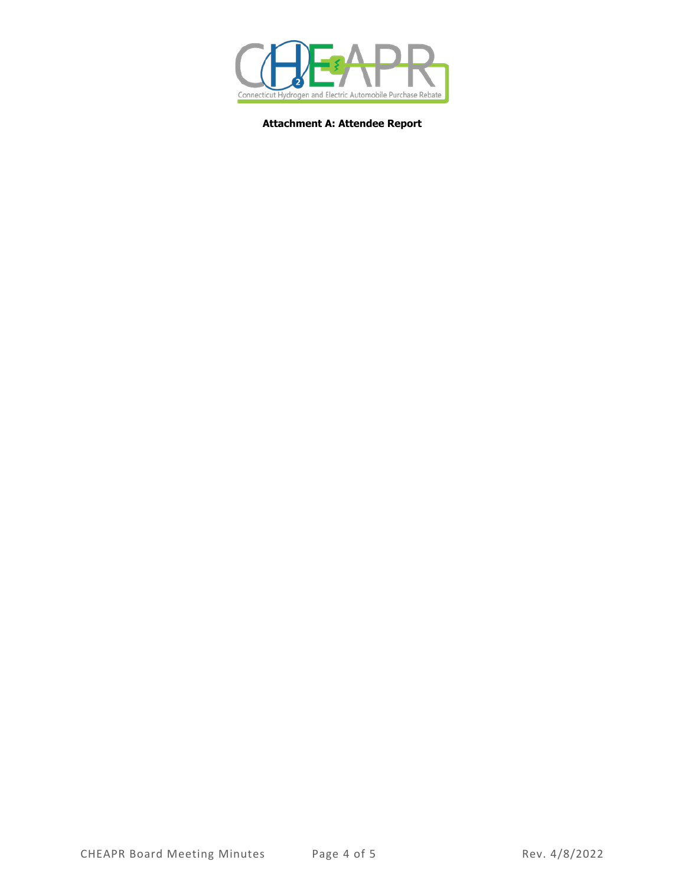

**Attachment A: Attendee Report**